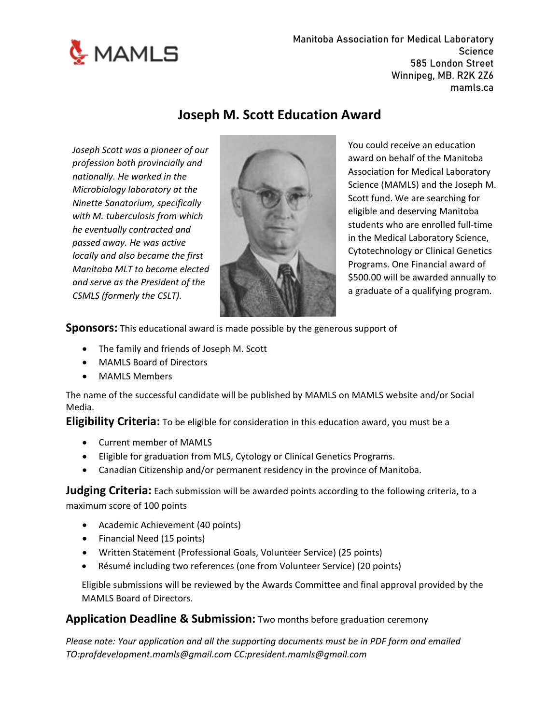

**Manitoba Association for Medical Laboratory Science 585 London Street Winnipeg, MB. R2K 2Z6 mamls.ca**

## **Joseph M. Scott Education Award**

*Joseph Scott was a pioneer of our profession both provincially and nationally. He worked in the Microbiology laboratory at the Ninette Sanatorium, specifically with M. tuberculosis from which he eventually contracted and passed away. He was active locally and also became the first Manitoba MLT to become elected and serve as the President of the CSMLS (formerly the CSLT).*



You could receive an education award on behalf of the Manitoba Association for Medical Laboratory Science (MAMLS) and the Joseph M. Scott fund. We are searching for eligible and deserving Manitoba students who are enrolled full-time in the Medical Laboratory Science, Cytotechnology or Clinical Genetics Programs. One Financial award of \$500.00 will be awarded annually to a graduate of a qualifying program.

**Sponsors:** This educational award is made possible by the generous support of

- The family and friends of Joseph M. Scott
- MAMLS Board of Directors
- MAMLS Members

The name of the successful candidate will be published by MAMLS on MAMLS website and/or Social Media.

**Eligibility Criteria:** To be eligible for consideration in this education award, you must be a

- Current member of MAMLS
- Eligible for graduation from MLS, Cytology or Clinical Genetics Programs.
- Canadian Citizenship and/or permanent residency in the province of Manitoba.

**Judging Criteria:** Each submission will be awarded points according to the following criteria, to a maximum score of 100 points

- Academic Achievement (40 points)
- Financial Need (15 points)
- Written Statement (Professional Goals, Volunteer Service) (25 points)
- Résumé including two references (one from Volunteer Service) (20 points)

Eligible submissions will be reviewed by the Awards Committee and final approval provided by the MAMLS Board of Directors.

#### **Application Deadline & Submission:** Two months before graduation ceremony

*Please note: Your application and all the supporting documents must be in PDF form and emailed TO:profdevelopment.mamls@gmail.com CC:president.mamls@gmail.com*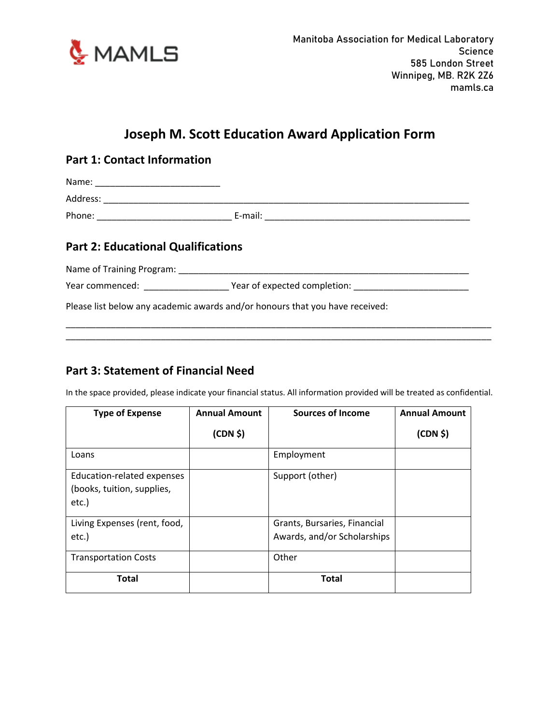

# **Joseph M. Scott Education Award Application Form**

### **Part 1: Contact Information**

Name: \_\_\_\_\_\_\_\_\_\_\_\_\_\_\_\_\_\_\_\_\_\_\_\_\_

Address: \_\_\_\_\_\_\_\_\_\_\_\_\_\_\_\_\_\_\_\_\_\_\_\_\_\_\_\_\_\_\_\_\_\_\_\_\_\_\_\_\_\_\_\_\_\_\_\_\_\_\_\_\_\_\_\_\_\_\_\_\_\_\_\_\_\_\_\_\_\_\_\_\_

Phone: \_\_\_\_\_\_\_\_\_\_\_\_\_\_\_\_\_\_\_\_\_\_\_\_\_\_\_ E-mail: \_\_\_\_\_\_\_\_\_\_\_\_\_\_\_\_\_\_\_\_\_\_\_\_\_\_\_\_\_\_\_\_\_\_\_\_\_\_\_\_\_

## **Part 2: Educational Qualifications**

Name of Training Program: **Wallet Name of Training Program:** 

Year commenced: \_\_\_\_\_\_\_\_\_\_\_\_\_\_\_\_\_\_\_\_\_\_\_\_ Year of expected completion: \_\_\_\_\_\_\_\_\_\_\_\_\_\_\_\_\_\_\_\_\_\_\_\_\_\_\_\_\_

Please list below any academic awards and/or honours that you have received:

## **Part 3: Statement of Financial Need**

In the space provided, please indicate your financial status. All information provided will be treated as confidential.

\_\_\_\_\_\_\_\_\_\_\_\_\_\_\_\_\_\_\_\_\_\_\_\_\_\_\_\_\_\_\_\_\_\_\_\_\_\_\_\_\_\_\_\_\_\_\_\_\_\_\_\_\_\_\_\_\_\_\_\_\_\_\_\_\_\_\_\_\_\_\_\_\_\_\_\_\_\_\_\_\_\_\_\_\_ \_\_\_\_\_\_\_\_\_\_\_\_\_\_\_\_\_\_\_\_\_\_\_\_\_\_\_\_\_\_\_\_\_\_\_\_\_\_\_\_\_\_\_\_\_\_\_\_\_\_\_\_\_\_\_\_\_\_\_\_\_\_\_\_\_\_\_\_\_\_\_\_\_\_\_\_\_\_\_\_\_\_\_\_\_

| <b>Type of Expense</b>                                            | <b>Annual Amount</b> | <b>Sources of Income</b>                                    | <b>Annual Amount</b> |
|-------------------------------------------------------------------|----------------------|-------------------------------------------------------------|----------------------|
|                                                                   | (CDN \$)             |                                                             | (CDN \$)             |
| Loans                                                             |                      | Employment                                                  |                      |
| Education-related expenses<br>(books, tuition, supplies,<br>etc.) |                      | Support (other)                                             |                      |
| Living Expenses (rent, food,<br>etc.)                             |                      | Grants, Bursaries, Financial<br>Awards, and/or Scholarships |                      |
| <b>Transportation Costs</b>                                       |                      | Other                                                       |                      |
| <b>Total</b>                                                      |                      | <b>Total</b>                                                |                      |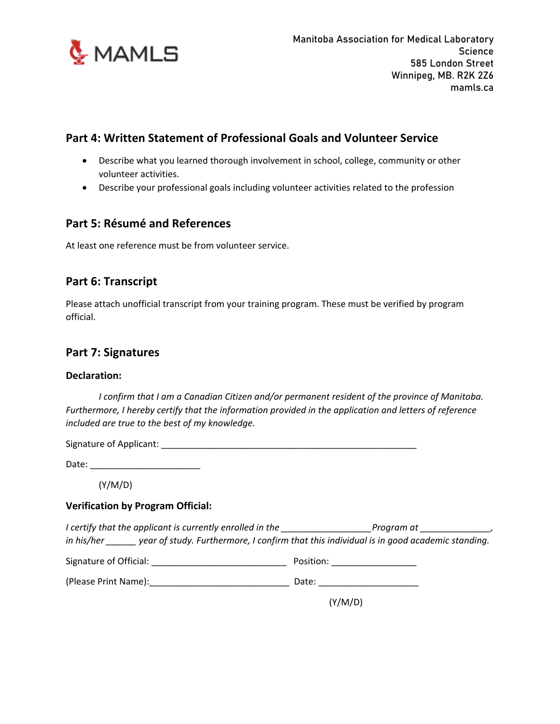

## **Part 4: Written Statement of Professional Goals and Volunteer Service**

- Describe what you learned thorough involvement in school, college, community or other volunteer activities.
- Describe your professional goals including volunteer activities related to the profession

#### **Part 5: Résumé and References**

At least one reference must be from volunteer service.

#### **Part 6: Transcript**

Please attach unofficial transcript from your training program. These must be verified by program official.

#### **Part 7: Signatures**

#### **Declaration:**

*I confirm that I am a Canadian Citizen and/or permanent resident of the province of Manitoba. Furthermore, I hereby certify that the information provided in the application and letters of reference included are true to the best of my knowledge.*

| Signature of Applicant: |
|-------------------------|
|-------------------------|

Date: \_\_\_\_\_\_\_\_\_\_\_\_\_\_\_\_\_\_\_\_\_\_

(Y/M/D)

#### **Verification by Program Official:**

*I* certify that the applicant is currently enrolled in the *Program at Program at 1997 in his/her \_\_\_\_\_\_ year of study. Furthermore, I confirm that this individual is in good academic standing.*

Signature of Official: \_\_\_\_\_\_\_\_\_\_\_\_\_\_\_\_\_\_\_\_\_\_\_\_\_\_\_ Position: \_\_\_\_\_\_\_\_\_\_\_\_\_\_\_\_\_

(Please Print Name):\_\_\_\_\_\_\_\_\_\_\_\_\_\_\_\_\_\_\_\_\_\_\_\_\_\_\_\_ Date: \_\_\_\_\_\_\_\_\_\_\_\_\_\_\_\_\_\_\_\_

(Y/M/D)